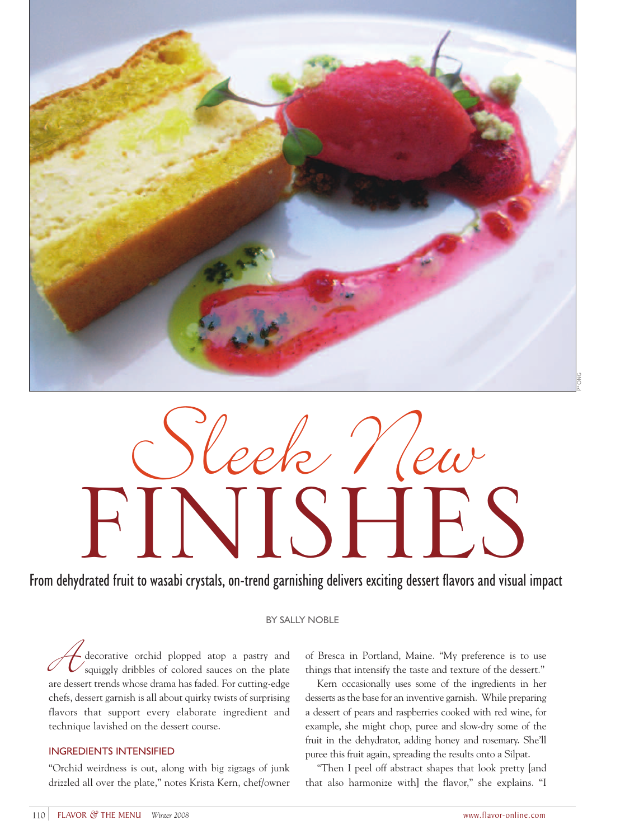

# Sleek New FINISHES

# From dehydrated fruit to wasabi crystals, on-trend garnishing delivers exciting dessert flavors and visual impact

## BY SALLY NOBLE

Lecorative orchid plopped atop a pastry and squiggly dribbles of colored sauces on the plate are dessert trends whose drama has faded. For cutting-edge chefs, dessert garnish is all about quirky twists of surprising flavors that support every elaborate ingredient and technique lavished on the dessert course.

### INGREDIENTS INTENSIFIED

"Orchid weirdness is out, along with big zigzags of junk drizzled all over the plate," notes Krista Kern, chef/owner

of Bresca in Portland, Maine. "My preference is to use things that intensify the taste and texture of the dessert."

Kern occasionally uses some of the ingredients in her desserts as the base for an inventive garnish. While preparing a dessert of pears and raspberries cooked with red wine, for example, she might chop, puree and slow-dry some of the fruit in the dehydrator, adding honey and rosemary. She'll puree this fruit again, spreading the results onto a Silpat.

"Then I peel off abstract shapes that look pretty [and that also harmonize with] the flavor," she explains. "I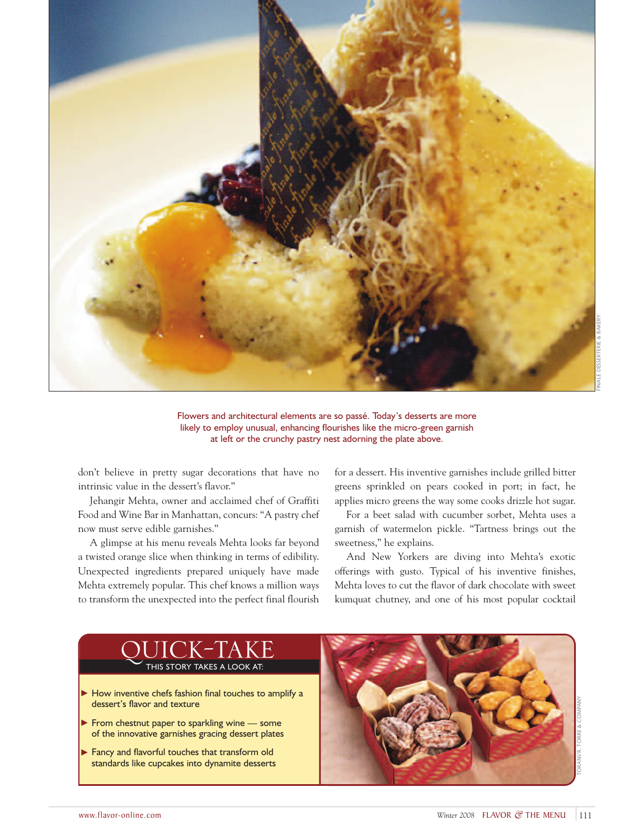

Flowers and architectural elements are so passé. Today's desserts are more likely to employ unusual, enhancing flourishes like the micro-green garnish at left or the crunchy pastry nest adorning the plate above.

don't believe in pretty sugar decorations that have no intrinsic value in the dessert's flavor."

Jehangir Mehta, owner and acclaimed chef of Graffiti Food and Wine Bar in Manhattan, concurs: "A pastry chef now must serve edible garnishes."

A glimpse at his menu reveals Mehta looks far beyond a twisted orange slice when thinking in terms of edibility. Unexpected ingredients prepared uniquely have made Mehta extremely popular. This chef knows a million ways to transform the unexpected into the perfect final flourish for a dessert. His inventive garnishes include grilled bitter greens sprinkled on pears cooked in port; in fact, he applies micro greens the way some cooks drizzle hot sugar.

For a beet salad with cucumber sorbet, Mehta uses a garnish of watermelon pickle. "Tartness brings out the sweetness," he explains.

And New Yorkers are diving into Mehta's exotic offerings with gusto. Typical of his inventive finishes, Mehta loves to cut the flavor of dark chocolate with sweet kumquat chutney, and one of his most popular cocktail

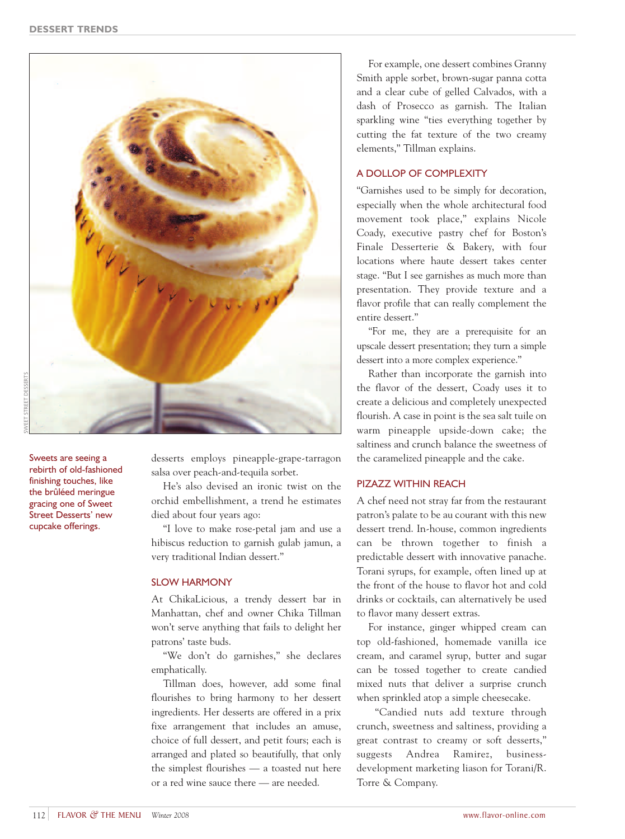

SWEET STREET DESSERTS

Sweets are seeing a rebirth of old-fashioned finishing touches, like the brûléed meringue gracing one of Sweet Street Desserts' new cupcake offerings.

desserts employs pineapple-grape-tarragon salsa over peach-and-tequila sorbet.

He's also devised an ironic twist on the orchid embellishment, a trend he estimates died about four years ago:

"I love to make rose-petal jam and use a hibiscus reduction to garnish gulab jamun, a very traditional Indian dessert."

### SLOW HARMONY

At ChikaLicious, a trendy dessert bar in Manhattan, chef and owner Chika Tillman won't serve anything that fails to delight her patrons' taste buds.

"We don't do garnishes," she declares emphatically.

Tillman does, however, add some final flourishes to bring harmony to her dessert ingredients. Her desserts are offered in a prix fixe arrangement that includes an amuse, choice of full dessert, and petit fours; each is arranged and plated so beautifully, that only the simplest flourishes — a toasted nut here or a red wine sauce there — are needed.

For example, one dessert combines Granny Smith apple sorbet, brown-sugar panna cotta and a clear cube of gelled Calvados, with a dash of Prosecco as garnish. The Italian sparkling wine "ties everything together by cutting the fat texture of the two creamy elements," Tillman explains.

### A DOLLOP OF COMPLEXITY

"Garnishes used to be simply for decoration, especially when the whole architectural food movement took place," explains Nicole Coady, executive pastry chef for Boston's Finale Desserterie & Bakery, with four locations where haute dessert takes center stage. "But I see garnishes as much more than presentation. They provide texture and a flavor profile that can really complement the entire dessert."

"For me, they are a prerequisite for an upscale dessert presentation; they turn a simple dessert into a more complex experience."

Rather than incorporate the garnish into the flavor of the dessert, Coady uses it to create a delicious and completely unexpected flourish. A case in point is the sea salt tuile on warm pineapple upside-down cake; the saltiness and crunch balance the sweetness of the caramelized pineapple and the cake.

### PIZAZZ WITHIN REACH

A chef need not stray far from the restaurant patron's palate to be au courant with this new dessert trend. In-house, common ingredients can be thrown together to finish a predictable dessert with innovative panache. Torani syrups, for example, often lined up at the front of the house to flavor hot and cold drinks or cocktails, can alternatively be used to flavor many dessert extras.

For instance, ginger whipped cream can top old-fashioned, homemade vanilla ice cream, and caramel syrup, butter and sugar can be tossed together to create candied mixed nuts that deliver a surprise crunch when sprinkled atop a simple cheesecake.

"Candied nuts add texture through crunch, sweetness and saltiness, providing a great contrast to creamy or soft desserts," suggests Andrea Ramirez, businessdevelopment marketing liason for Torani/R. Torre & Company.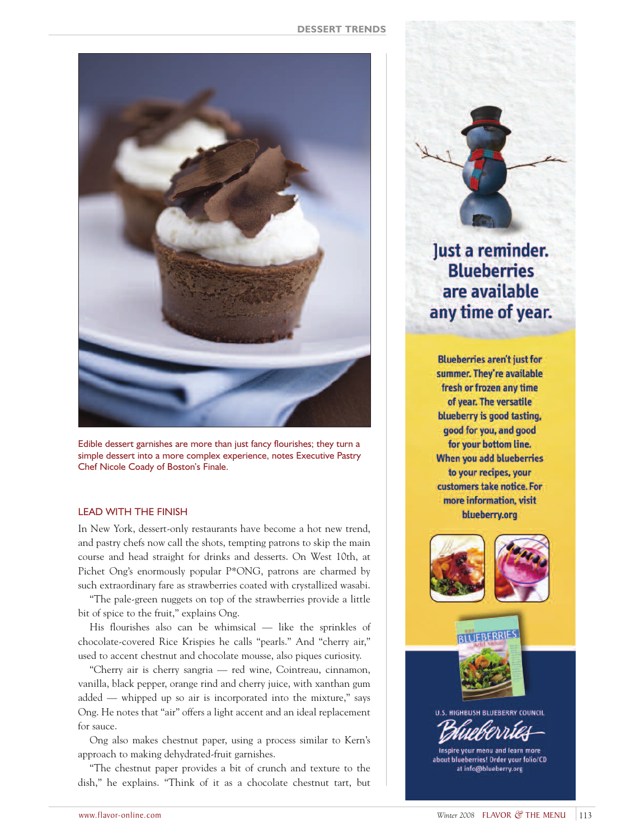

Edible dessert garnishes are more than just fancy flourishes; they turn a simple dessert into a more complex experience, notes Executive Pastry Chef Nicole Coady of Boston's Finale.

### LEAD WITH THE FINISH

In New York, dessert-only restaurants have become a hot new trend, and pastry chefs now call the shots, tempting patrons to skip the main course and head straight for drinks and desserts. On West 10th, at Pichet Ong's enormously popular P\*ONG, patrons are charmed by such extraordinary fare as strawberries coated with crystallized wasabi.

"The pale-green nuggets on top of the strawberries provide a little bit of spice to the fruit," explains Ong.

His flourishes also can be whimsical — like the sprinkles of chocolate-covered Rice Krispies he calls "pearls." And "cherry air," used to accent chestnut and chocolate mousse, also piques curiosity.

"Cherry air is cherry sangria — red wine, Cointreau, cinnamon, vanilla, black pepper, orange rind and cherry juice, with xanthan gum added — whipped up so air is incorporated into the mixture," says Ong. He notes that "air" offers a light accent and an ideal replacement for sauce.

Ong also makes chestnut paper, using a process similar to Kern's approach to making dehydrated-fruit garnishes.

"The chestnut paper provides a bit of crunch and texture to the dish," he explains. "Think of it as a chocolate chestnut tart, but

Just a reminder. **Blueberries** are available any time of year.

**Blueberries aren't just for** summer. They're available fresh or frozen any time of year. The versatile blueberry is good tasting, good for you, and good for your bottom line. When you add blueberries to your recipes, your customers take notice. For more information, visit blueberry.org



**RI LIEBERRIES** 





Inspire your menu and learn more about blueberries! Order your folio/CD at info@blueberry.org